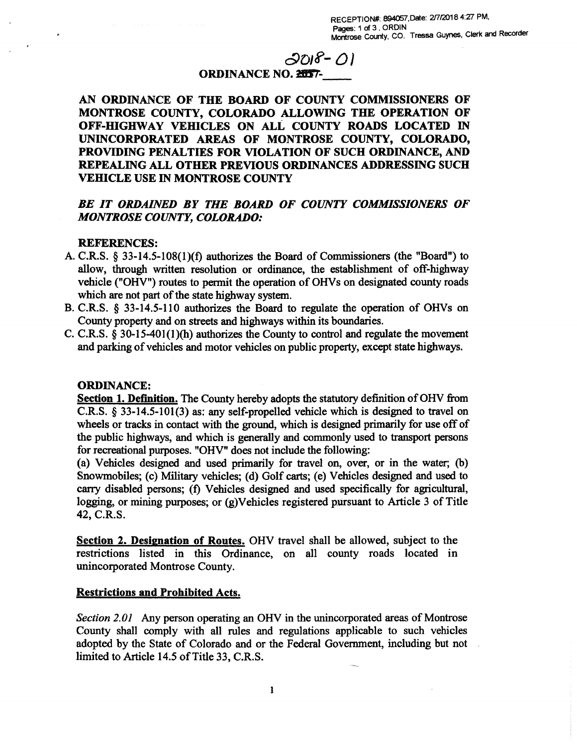# **c9D)e—** *0***)**

### **ORDINANCE NO. 20057-**

**AN ORDINANCE OF THE BOARD OF COUNTY COMMISSIONERS OF MONTROSE COUNTY, COLORADO ALLOWING THE OPERATION OF OFF-HIGHWAY VEHICLES ON ALL COUNTY ROADS LOCATED IN UNINCORPORATED AREAS OF MONTROSE COUNTY, COLORADO, PROVIDING PENALTIES FOR VIOLATION OF SUCH ORDINANCE, AND REPEALING ALL OTHER PREVIOUS ORDINANCES ADDRESSING SUCH VEHICLE USE IN MONTROSE COUNTY** 

## *BE IT ORDAINED BY THE BOARD OF COUNTY COMMISSIONERS OF MONTROSE COUNTY, COLORADO:*

#### **REFERENCES:**

- A. C.R.S. § 33-14.5-108(1)(f) authorizes the Board of Commissioners (the "Board") to allow, through written resolution or ordinance, the establishment of off-highway vehicle ("OHV") routes to permit the operation of OHVs on designated county roads which are not part of the state highway system.
- B. C.R.S. § 33-14.5-110 authorizes the Board to regulate the operation of OHVs on County property and on streets and highways within its boundaries.
- C. C.R.S. § 30-15-401(1)(h) authorizes the County to control and regulate the movement and parking of vehicles and motor vehicles on public property, except state highways.

### **ORDINANCE:**

**Section 1. Definition.** The County hereby adopts the statutory definition of OHV from C.R.S. § 33-14.5-101(3) as: any self-propelled vehicle which is designed to travel on wheels or tracks in contact with the ground, which is designed primarily for use off of the public highways, and which is generally and commonly used to transport persons for recreational purposes. "OHV" does not include the following:

(a) Vehicles designed and used primarily for travel on, over, or in the water; (b) Snowmobiles; (c) Military vehicles; (d) Golf carts; (e) Vehicles designed and used to carry disabled persons; (f) Vehicles designed and used specifically for agricultural, logging, or mining purposes; or (g)Vehicles registered pursuant to Article 3 of Title 42, C.R.S.

**Section 2. Designation of Routes.** OHV travel shall be allowed, subject to the restrictions listed in this Ordinance, on all county roads located in unincorporated Montrose County.

#### **Restrictions and Prohibited Acts.**

*Section 2.01* Any person operating an OHV in the unincorporated areas of Montrose County shall comply with all rules and regulations applicable to such vehicles adopted by the State of Colorado and or the Federal Government, including but not limited to Article 14.5 of Title 33, C.R.S.

1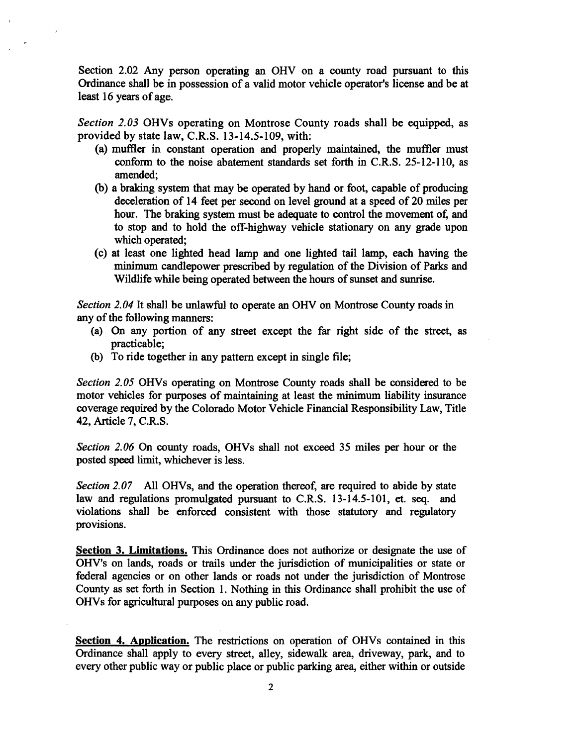Section 2.02 Any person operating an OHV on a county road pursuant to this Ordinance shall be in possession of a valid motor vehicle operator's license and be at least 16 years of age.

*Section 2.03* OHVs operating on Montrose County roads shall be equipped, as provided by state law, C.R.S. 13-14.5-109, with:

- (a) muffler in constant operation and properly maintained, the muffler must conform to the noise abatement standards set forth in C.R.S. 25-12-110, as amended;
- (b) a braking system that may be operated by hand or foot, capable of producing deceleration of 14 feet per second on level ground at a speed of 20 miles per hour. The braking system must be adequate to control the movement of, and to stop and to hold the off-highway vehicle stationary on any grade upon which operated;
- (c) at least one lighted head lamp and one lighted tail lamp, each having the minimum candlepower prescribed by regulation of the Division of Parks and Wildlife while being operated between the hours of sunset and sunrise.

*Section 2.04* It shall be unlawful to operate an OHV on Montrose County roads in any of the following manners:

- (a) On any portion of any street except the far right side of the street, as practicable;
- (b) To ride together in any pattern except in single file;

*Section 2.05* OHVs operating on Montrose County roads shall be considered to be motor vehicles for purposes of maintaining at least the minimum liability insurance coverage required by the Colorado Motor Vehicle Financial Responsibility Law, Title 42, Article 7, C.R.S.

*Section 2.06* On county roads, OHVs shall not exceed 35 miles per hour or the posted speed limit, whichever is less.

*Section 2.07* All OHVs, and the operation thereof, are required to abide by state law and regulations promulgated pursuant to C.R.S. 13-14.5-101, et. seq. and violations shall be enforced consistent with those statutory and regulatory provisions.

**Section 3. Limitations.** This Ordinance does not authorize or designate the use of OHV's on lands, roads or trails under the jurisdiction of municipalities or state or federal agencies or on other lands or roads not under the jurisdiction of Montrose County as set forth in Section 1. Nothing in this Ordinance shall prohibit the use of OHVs for agricultural purposes on any public road.

**Section 4. Application.** The restrictions on operation of OHVs contained in this Ordinance shall apply to every street, alley, sidewalk area, driveway, park, and to every other public way or public place or public parking area, either within or outside